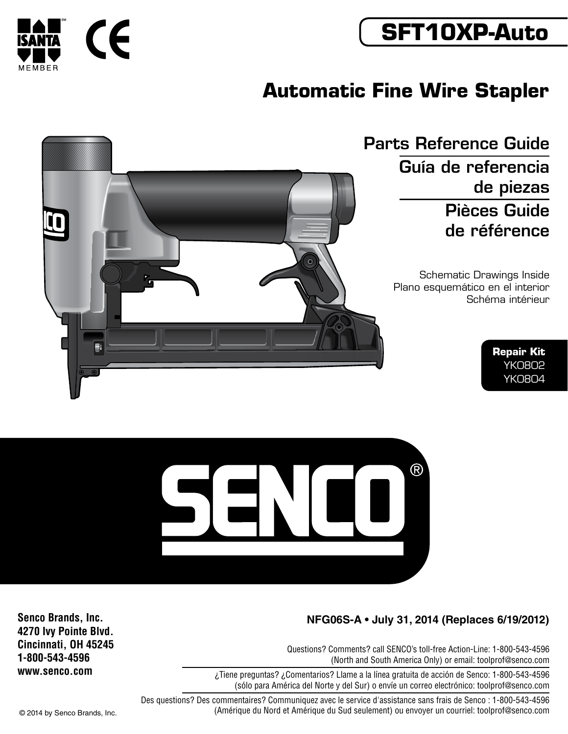

# **Automatic Fine Wire Stapler**

Parts Reference Guide Guía de referencia de piezas Pièces Guide de référence

> Schematic Drawings Inside Plano esquemático en el interior Schéma intérieur

> > **Repair Kit** YK0802 YK0804









### **NFG06S-A • July 31, 2014 (Replaces 6/19/2012)**

Questions? Comments? call SENCO's toll-free Action-Line: 1-800-543-4596 (North and South America Only) or email: toolprof@senco.com

 $R$ 

¿Tiene preguntas? ¿Comentarios? Llame a la línea gratuita de acción de Senco: 1-800-543-4596 (sólo para América del Norte y del Sur) o envíe un correo electrónico: toolprof@senco.com

Des questions? Des commentaires? Communiquez avec le service d'assistance sans frais de Senco : 1-800-543-4596 © 2014 by Senco Brands, Inc. (Amérique du Nord et Amérique du Sud seulement) ou envoyer un courriel: toolprof@senco.com

**Senco Brands, Inc. 4270 Ivy Pointe Blvd. Cincinnati, OH 45245 1-800-543-4596 www.senco.com**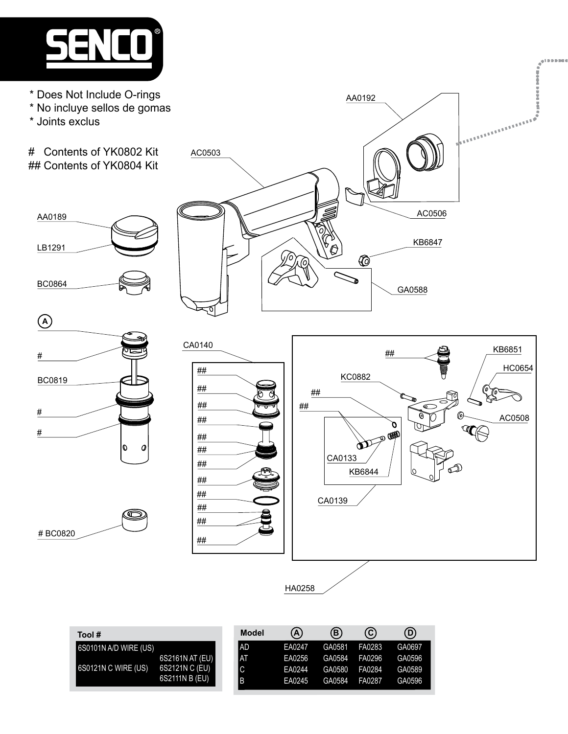

- \* Does Not Include O-rings
- \* No incluye sellos de gomas
- \* Joints exclus

AA0189

LB1291

BC0864

# BC0820

# Contents of YK0802 Kit ## Contents of YK0804 Kit



AA0192



ৰ





| Tool #                               |                 | <b>Model</b> | (A)    | $\left(\mathsf{B}\right)$ | $\odot$ | $\circledcirc$              |
|--------------------------------------|-----------------|--------------|--------|---------------------------|---------|-----------------------------|
| $\blacksquare$ 6S0101N A/D WIRE (US) |                 | I AD         |        |                           |         | EA0247 GA0581 FA0283 GA0697 |
|                                      | 6S2161N AT (EU) | IAI          | EA0256 |                           |         | GA0584 FA0296 GA0596        |
| 6S0121N C WIRE (US)                  | 6S2121N C (EU)  |              | EA0244 |                           |         | GA0580 FA0284 GA0589        |
|                                      | 6S2111N B (EU)  |              | EA0245 | GA0584                    |         | FA0287 GA0596               |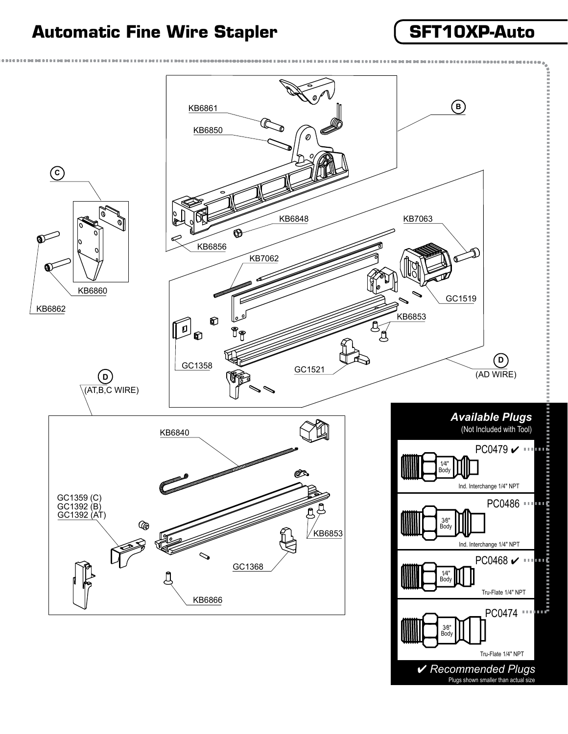## **Automatic Fine Wire Stapler SFT10XP-Auto**



4 *Recommended Plugs* Plugs shown smaller than actual size